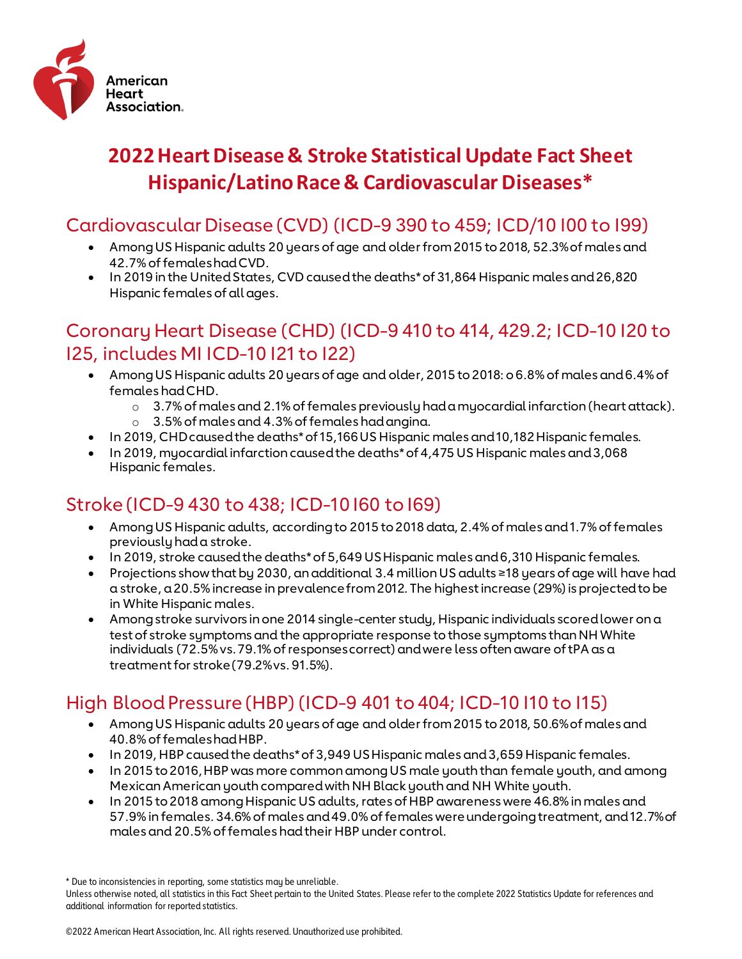

# **2022 Heart Disease & Stroke Statistical Update Fact Sheet Hispanic/Latino Race & Cardiovascular Diseases\***

#### Cardiovascular Disease (CVD) (ICD-9 390 to 459; ICD/10 I00 to I99)

- Among US Hispanic adults 20 years of age and older from 2015 to 2018, 52.3% of males and 42.7% of females had CVD.
- In 2019 in the United States, CVD caused the deaths\* of 31,864 Hispanic males and 26,820 Hispanic females of all ages.

#### Coronary Heart Disease (CHD) (ICD-9 410 to 414, 429.2; ICD-10 I20 to I25, includes MI ICD-10 I21 to I22)

- Among US Hispanic adults 20 years of age and older, 2015 to 2018: o 6.8% of males and 6.4% of females had CHD.
	- o 3.7% of males and 2.1% of females previously had a myocardial infarction (heart attack).
	- $\circ$  3.5% of males and 4.3% of females had anaina.
- In 2019, CHD caused the deaths\* of 15,166 US Hispanic males and 10,182 Hispanic females.
- In 2019, myocardial infarction caused the deaths\* of 4,475 US Hispanic males and 3,068 Hispanic females.

## Stroke (ICD-9 430 to 438; ICD-10 I60 to I69)

- Among US Hispanic adults, according to 2015 to 2018 data, 2.4% of males and 1.7% of females previously had a stroke.
- In 2019, stroke caused the deaths\* of 5,649 US Hispanic males and 6,310 Hispanic females.
- Projections show that by 2030, an additional 3.4 million US adults ≥18 years of age will have had a stroke, a 20.5% increase in prevalence from 2012. The highest increase (29%) is projected to be in White Hispanic males.
- Among stroke survivors in one 2014 single-center study, Hispanic individuals scoredlower on a test of stroke symptoms and the appropriate response to those symptoms than NH White individuals (72.5% vs. 79.1% of responses correct) and were less often aware of tPA as a treatment for stroke (79.2% vs. 91.5%).

## High Blood Pressure (HBP) (ICD-9 401 to 404; ICD-10 I10 to I15)

- Among US Hispanic adults 20 years of age and older from 2015 to 2018, 50.6% of males and 40.8% of females had HBP.
- In 2019, HBP caused the deaths\* of 3,949 US Hispanic males and 3,659 Hispanic females.
- In 2015 to 2016, HBP was more common among US male youth than female youth, and among Mexican American youth compared with NH Black youth and NH White youth.
- In 2015 to 2018 among Hispanic US adults, rates of HBP awareness were 46.8% in males and 57.9% in females. 34.6% of males and 49.0% of females were undergoing treatment, and 12.7% of males and 20.5% of females had their HBP under control.

<sup>\*</sup> Due to inconsistencies in reporting, some statistics may be unreliable.

Unless otherwise noted, all statistics in this Fact Sheet pertain to the United States. Please refer to the complete 2022 Statistics Update for references and additional information for reported statistics.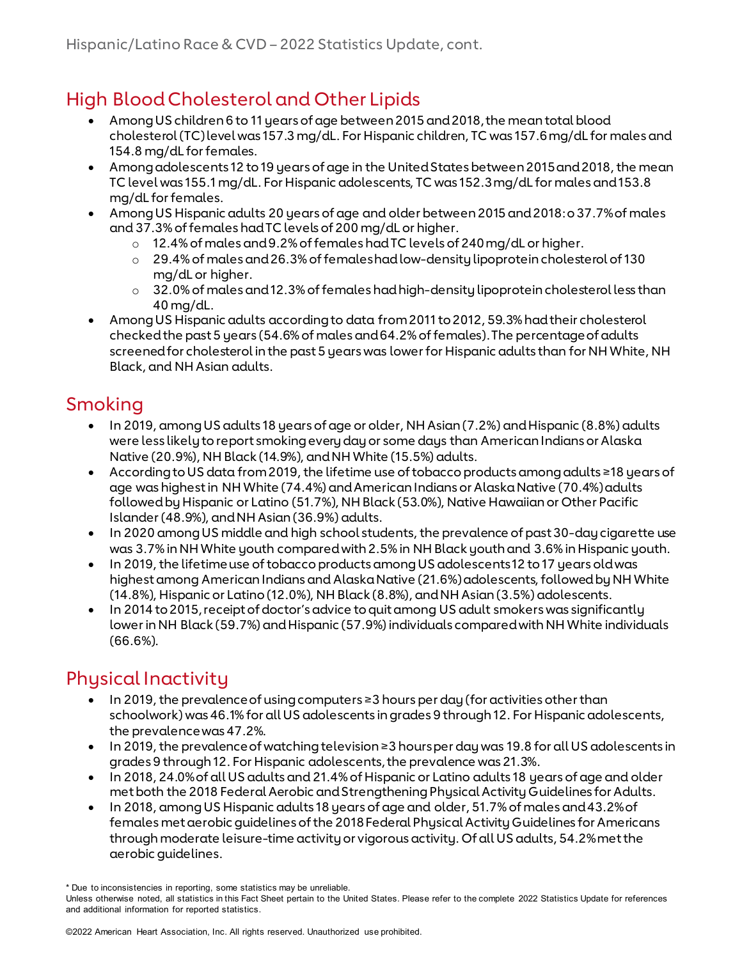### High Blood Cholesterol and Other Lipids

- Among US children 6 to 11 years of age between 2015 and 2018, the mean total blood cholesterol (TC) level was 157.3 mg/dL. For Hispanic children, TC was 157.6 mg/dL for males and 154.8 mg/dL for females.
- Among adolescents 12 to 19 years of age in the United States between 2015 and 2018, the mean TC level was 155.1 mg/dL. For Hispanic adolescents, TC was 152.3 mg/dL for males and 153.8 mg/dL for females.
- Among US Hispanic adults 20 years of age and older between 2015 and 2018: o 37.7% of males and 37.3% of females had TC levels of 200 mg/dL or higher.
	- o 12.4% of males and 9.2% of females had TC levels of 240 mg/dL or higher.
	- o 29.4% of males and 26.3% of females had low-density lipoprotein cholesterol of 130 mg/dL or higher.
	- $\circ$  32.0% of males and 12.3% of females had high-density lipoprotein cholesterol less than 40 mg/dL.
- Among US Hispanic adults according to data from 2011 to 2012, 59.3% had their cholesterol checked the past 5 years (54.6% of males and 64.2% of females). The percentage of adults screened for cholesterol in the past 5 years was lower for Hispanic adults than for NH White, NH Black, and NH Asian adults.

### Smoking

- In 2019, among US adults 18 years of age or older, NH Asian (7.2%) and Hispanic (8.8%) adults were less likely to report smoking every day or some days than American Indians or Alaska Native (20.9%), NH Black (14.9%), and NH White (15.5%) adults.
- According to US data from 2019, the lifetime use of tobacco products among adults ≥18 years of age was highest in NH White (74.4%) and American Indians or Alaska Native (70.4%) adults followed by Hispanic or Latino (51.7%), NH Black (53.0%), Native Hawaiian or Other Pacific Islander (48.9%), and NH Asian (36.9%) adults.
- In 2020 among US middle and high school students, the prevalence of past 30-day cigarette use was 3.7% in NH White youth compared with 2.5% in NH Black youth and 3.6% in Hispanic youth.
- In 2019, the lifetime use of tobacco products among US adolescents 12 to 17 years old was highest among American Indians and Alaska Native (21.6%) adolescents, followed by NH White (14.8%), Hispanic or Latino (12.0%), NH Black (8.8%), and NH Asian (3.5%) adolescents.
- In 2014 to 2015, receipt of doctor's advice to quit among US adult smokers was significantly lower in NH Black (59.7%) and Hispanic (57.9%) individuals compared with NH White individuals (66.6%).

## Physical Inactivity

- In 2019, the prevalence of using computers ≥3 hours per day (for activities other than schoolwork) was 46.1% for all US adolescents in grades 9 through 12. For Hispanic adolescents, the prevalence was 47.2%.
- In 2019, the prevalence of watching television ≥3 hours per day was 19.8 for all US adolescents in grades 9 through 12. For Hispanic adolescents, the prevalence was 21.3%.
- In 2018, 24.0% of all US adults and 21.4% of Hispanic or Latino adults 18 years of age and older met both the 2018 Federal Aerobic and Strengthening Physical Activity Guidelines for Adults.
- In 2018, among US Hispanic adults 18 years of age and older, 51.7% of males and 43.2% of females met aerobic guidelines of the 2018 Federal Physical Activity Guidelines for Americans through moderate leisure-time activity or vigorous activity. Of all US adults, 54.2% met the aerobic guidelines.

<sup>\*</sup> Due to inconsistencies in reporting, some statistics may be unreliable.

Unless otherwise noted, all statistics in this Fact Sheet pertain to the United States. Please refer to the complete 2022 Statistics Update for references and additional information for reported statistics.

<sup>©2022</sup> American Heart Association, Inc. All rights reserved. Unauthorized use prohibited.